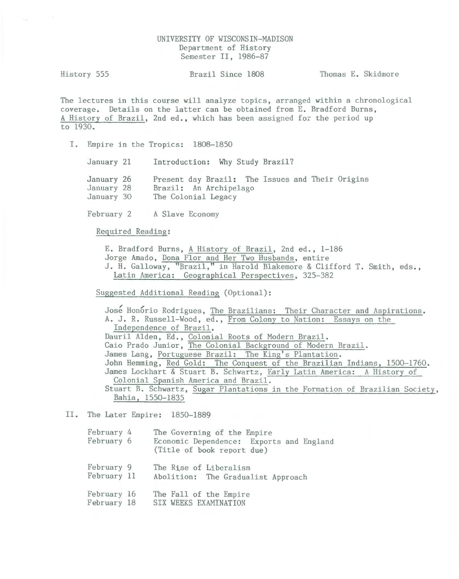# UNIVERSITY OF WISCONSIN-MADISON Department of History Semester II, 1986-87

History 555 Brazil Since 1808 Thomas E. Skidmore

The lectures in this course will analyze topics, arranged within a chronological coverage. Details on the latter can be obtained from E. Bradford Burns, A History of Brazil, 2nd ed., which has been assigned for the period up to 1930.

I. Empire in the Tropics: 1808-1850

January 21 Introduction: Why Study Brazil?

January 26 January 28 January 30 Present day Brazil: The Issues and Their Origins Brazil: An Archipelago The Colonial Legacy

February 2 A Slave Economy

Required Reading:

E. Bradford Burns, A History of Brazil, 2nd ed., 1-186

Jorge Amado, Dona Flor and Her Two Husbands, entire

J. H. Galloway, "Brazil," in Harold Blakemore & Clifford T. Smith, eds., Latin America: Geographical Perspectives, 325-382

Suggested Additional Reading (Optional):

José Honório Rodrigues, The Brazilians: Their Character and Aspirations. A. J. R. Russell-Wood, ed., From Colony to Nation: Essays on the Independence of Brazil. Dauril Alden, Ed., Colonial Roots of Modern Brazil. Caio Prado Junior, The Colonial Background of Modern Brazil. James Lang, Portuguese Brazil: The King's Plantation. John Hemming, Red Gold: The Conquest of the Brazilian Indians, 1500-1760. James Lockhart & Stuart B. Schwartz, Early Latin America: A History of Colonial Spanish America and Brazil. Stuart B. Schwartz, Sugar Plantations in the Formation of Brazilian Society, Bahia, 1550-1835

# II. The Later Empire: 1850-1889

| February 4<br>February 6   | The Governing of the Empire<br>Economic Dependence: Exports and England<br>(Title of book report due) |
|----------------------------|-------------------------------------------------------------------------------------------------------|
| February 9<br>February 11  | The Rise of Liberalism<br>Abolition: The Gradualist Approach                                          |
| February 16<br>February 18 | The Fall of the Empire<br>SIX WEEKS EXAMINATION                                                       |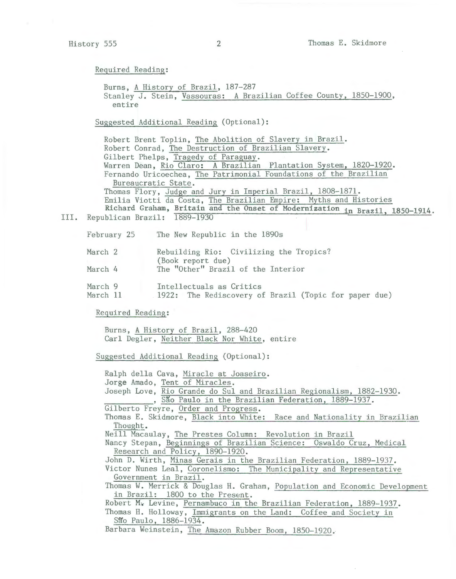Burns, A History of Brazil, 187-287 Stanley J. Stein, Vassouras: A Brazilian Coffee County, 1850-1900, entire

Suggested Additional Reading (Optional):

Robert Brent Toplin, The Abolition of Slavery in Brazil. Robert Conrad, The Destruction of Brazilian Slavery. Gilbert Phelps, Tragedy of Paraguay. Warren Dean, Rio Claro: A Brazilian Plantation System, 1820-1920. Fernando Uricoechea, The Patrimonial Foundations of the Brazilian Bureaucratic State. Thomas Flory, Judge and Jury in Imperial Brazil, 1808-1871. Emilia Viotti da Costa, The Brazilian Empire: Myths and Histories Richard Graham, Britain and the Onset of Modernization in Brazil, 1850-1914.

III. Republican Brazil: 1889-1930

February 25 The New Republic in the 1890s

| March 2                                |                   | Rebuilding Rio: Civilizing the Tropics? |  |
|----------------------------------------|-------------------|-----------------------------------------|--|
|                                        | (Book report due) |                                         |  |
| $M_{\odot}$ and $\sim$ $\frac{1}{2}$ . |                   | The UOther Press Left the Interior      |  |

- March 4 The "Other" Brazil of the Interior
- March 9 Intellectuals as Critics
- March 11 1922: The Rediscovery of Brazil (Topic for paper due)

Required Reading:

Burns, A History of Brazil, 288-420 Carl Degler, Neither Black Nor White, entire

Suggested Additional Reading (Optional):

Ralph della Cava, Miracle at Joaseiro. Jorge Amado, Tent of Miracles. Joseph Love, Rio Grande do Sul and Brazilian Regionalism, 1882-1930. , São Paulo in the Brazilian Federation, 1889-1937. Gilberto Freyre, Order and Progress. Thomas E. Skidmore, Black into White: Race and Nationality in Brazilian Thought. Neill Macaulay, The Prestes Column: Revolution in Brazil Nancy Stepan, Beginnings of Brazilian Science: Oswaldo Cruz, Medical Research and Policy, 1890-1920. John D. Wirth, Minas Gerais in the Brazilian Federation, 1889-1937. Victor Nunes Leal, Coronelismo: The Municipality and Representative Government in Brazil. Thomas W. Merrick & Douglas H. Graham, Population and Economic Development in Brazil: 1800 to the Present. Robert M $_{\rm v}$  Levine, Pernambuco in the Brazilian Federation, 1889-1937. Thomas H. Holloway, Immigrants on the Land: Coffee and Society in São Paulo, 1886-1934.

Barbara Weinstein, The Amazon Rubber Boom, 1850-1920.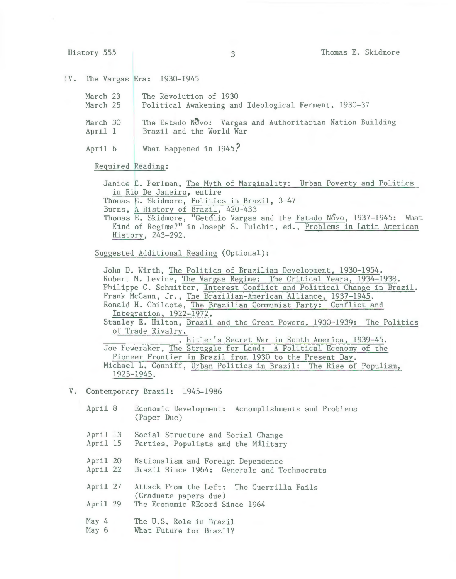History 555 3 3 Thomas E. Skidmore

## IV. The Vargas Era: 1930-1945

| March 23 | The Revolution of 1930                                    |
|----------|-----------------------------------------------------------|
| March 25 | Political Awakening and Ideological Ferment, 1930-37      |
| March 30 | The Estado Novo: Vargas and Authoritarian Nation Building |
| April 1  | Brazil and the World War                                  |
|          |                                                           |

April 6 What Happened in 1945?

Required Reading:

Janice E. Perlman, The Myth of Marginality: Urban Poverty and Politics in Rio De Janeiro, entire

Thomas E. Skidmore, Politics in Brazil, 3-47

Burns, A History of Brazil, 420-433

Thomas E. Skidmore, "Getulio Vargas and the Estado Novo, 1937-1945: What Kind of Regime?'' in JosephS. Tulchin, ed., Problems in Latin American History, 243-292.

Suggested Additional Reading (Optional):

John D. Wirth, The Politics of Brazilian Development, 1930-1954. Robert M. Levine, The Vargas Regime: The Critical Years, 1934-1938. Philippe C. Schmitter, Interest Conflict and Political Change in Brazil. Frank McCann, Jr., The Brazilian-American Alliance, 1937-1945. Ronald H. Chilcote, The Brazilian Communist Party: Conflict and Integration, 1922-1972. Stanley E. Hilton, Brazil and the Great Powers, 1930-1939: The Politics of Trade Rivalry. , Hitler's Secret War in South America, 1939-45.<br>Joe Foweraker, The Struggle for Land: A Political Economy of the Pioneer Frontier in Brazil from 1930 to the Present Day. Michael L. Conniff, Urban Politics in Brazil: The Rise of Populism, 1925-1945.

# V. Contemporary Brazil: 1945-1986

| April 8              | Economic Development: Accomplishments and Problems<br>(Paper Due)                 |
|----------------------|-----------------------------------------------------------------------------------|
| April 13<br>April 15 | Social Structure and Social Change<br>Parties, Populists and the Military         |
| April 20<br>April 22 | Nationalism and Foreign Dependence<br>Brazil Since 1964: Generals and Technocrats |
| April 27             | Attack From the Left: The Guerrilla Fails<br>(Graduate papers due)                |
| April 29             | The Economic REcord Since 1964                                                    |
| May $4$<br>May 6     | The U.S. Role in Brazil<br>What Future for Brazil?                                |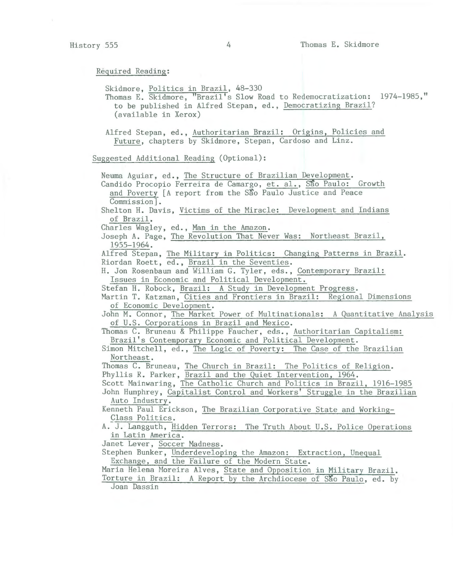Skidmore, Politics in Brazil, 48-330 Thomas E. Skidmore, "Brazil's Slow Road to Redemocratization: 1974-1985," to be published in Alfred Stepan, ed., Democratizing Brazil? (available in Xerox) Alfred Stepan, ed., Authoritarian Brazil: Origins, Policies and Future, chapters by Skidmore, Stepan, Cardoso and Linz. Suggested Additional Reading (Optional): Neuma Aguiar, ed., The Structure of Brazilian Development. Candido Procopio Ferreira de Camargo, et. al., São Paulo: Growth and Poverty [A report from the São Paulo Justice and Peace Commission]. Shelton H. Davis, Victims of the Miracle: Development and Indians of Brazil. Charles Wagley, ed., Man in the Amazon. Joseph A. Page, The Revolution That Never Was: Northeast Brazil, 1955-1964. Alfred Stepan, The Military in Politics: Changing Patterns in Brazil. Riordan Roett, ed., Brazil in the Seventies. H. Jon Rosenbaum and William G. Tyler, eds., Contemporary Brazil: Issues in Economic and Political Development. Stefan H. Robock, Brazil: A Study in Development Progress. Martin T. Katzman, Cities and Frontiers in Brazil: Regional Dimensions of Economic Development. John M. Connor, The Market Power of Multinationals: A Quantitative Analysis of U.S. Corporations in Brazil and Mexico. Thomas C. Bruneau & Philippe Faucher, eds., Authoritarian Capitalism: Brazil's Contemporary Economic and Political Development. Simon Mitchell, ed., The Logic of Poverty: The Case of the Brazilian Northeast. Thomas C. Bruneau, The Church in Brazil: The Politics of Religion. Phyllis R. Parker, Brazil and the Quiet Intervention, 1964. Scott Mainwaring, The Catholic Church and Politics in Brazil, 1916-1985 John Humphrey, Capitalist Control and Workers' Struggle in the Brazilian Auto Industry. Kenneth Paul Erickson, The Brazilian Corporative State and Working-Class Politics. A. J. Langguth, Hidden Terrors: The Truth About U.S. Police Operations in Latin America. Janet Lever, Soccer Madness. Stephen Bunker, Underdeveloping the Amazon: Extraction, Unequal Exchange, and the Failure of the Modern State. Maria Helena Moreira Alves, State and Opposjtion in Military Brazil. Torture in Brazil: A Report by the Archdiocese of São Paulo, ed. by Joan Dassin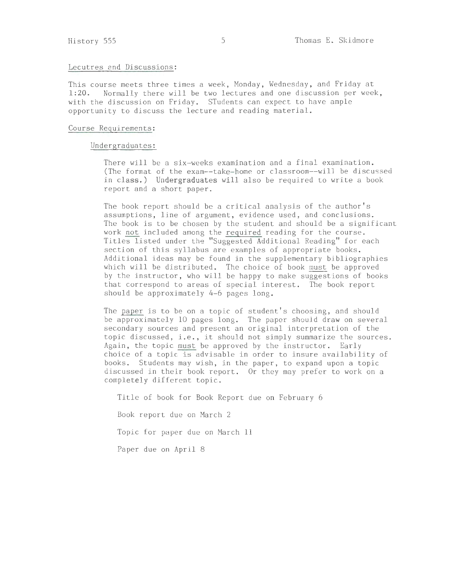## Lecutres and Discussions:

This course meets three times a week, Monday, Wednesday, and Friday at 1:20. Normally there will be two lectures and one discussion per week Normally there will be two lectures and one discussion per week, with the discussion on Friday. STudents can expect to have ample opportunity to discuss the lecture and reading material.

# Course Requirements:

# Undergraduates:

There will be a six-weeks examination and a final examination. (The format of the exam--take-home or classroom--will be discussed in class.) Undergraduates will also be required to write a book report and a short paper.

The book report should be a critical analysis of the author's assumptions, line of argument, evidence used, and conclusions. The book is to be chosen by the student and should be a significant work not included among the required reading for the course. Titles listed under the "Suggested Additional Reading" for each section of this syllabus are examples of appropriate books. Additional ideas may be found in the supplementary bibliographies which will be distributed. The choice of book must be approved by the instructor, who will be happy to make suggestions of books that correspond to areas of special interest. The book report should be approximately 4-6 pages long.

The paper is to be on a topic of student's choosing, and should be approximately 10 pages long. The paper should draw on several secondary sources and present an original interpretation of the topic discussed, i.e., it should not simply summarize the sources. Again, the topic must be approved by the instructor. Early choice of a topic is advisable in order to insure availability of books. Students may wish, in the paper, to expand upon a topic discussed in their book report. Or they may prefer to work on a completely different topic.

Title of book for Book Report due on February 6

Book report due on March 2

Topic for paper due on March 11

Paper due on April 8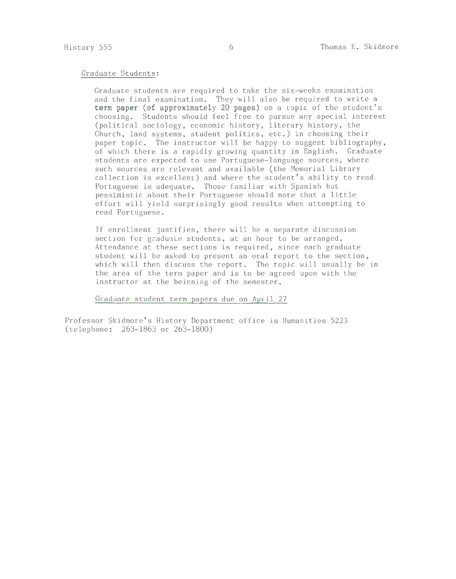# Graduate Students:

Graduate students are required to take the six-weeks examination and the final examination. They will also be required to write a **term paper (of approximately 20 pages)** on a topic of the student's choosing. Students should feel free to pursue any special interest (political sociology, economic history, literary history, the Church, land systems, student politics, etc.) in choosing their paper topic. The instructor will be happy to suggest bibliography, of which there is a rapidly growing quantity in English. Graduate students are expected to use Portuguese-language sources, where such sources are relevant and available (the Memorial Li brary collection is excellent) and where the student's ability to read Portuguese is adequate. Those familiar with Spanish but pessimistic about their Portuguese should note that a little effort will yield surprisingly good results when attempting to read Portuguese.

If enrollment justifies, there will be a separate discussion section for graduate students, at an hour to be arranged. Attendance at these sections is required, since each graduate student will be asked to present an oral report to the section, which will then discuss the report. The topic will usually be in the area of the term paper and is to be agreed upon with the instructor at the beinning of the semester.

Graduate student term papers due on April 27

Professor Skidmore's History Department office is Humanities 5223 (telephone: 263-1863 or 263-1800)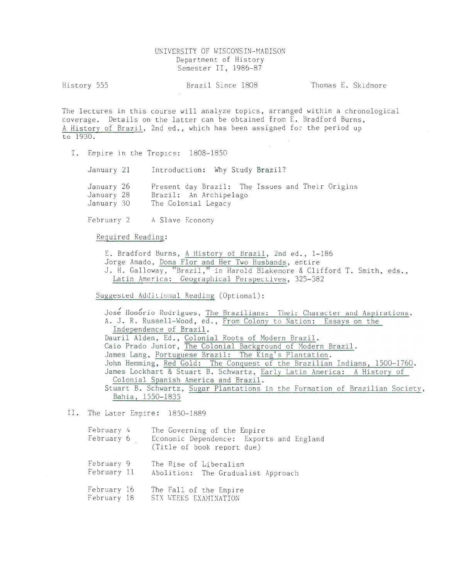# UNIVERSITY OF WISCONSIN-MADISON Department of History Semester II, 1986-87

History 555 **Brazil Since 1808** Thomas E. Skidmore

The lectures in this course will analyze topics, arranged within a chronological coverage. Details on the latter can be obtained from E. Bradford Burns, A History of Brazil, 2nd ed., which has been assigned for the period up to 1930.

I. Empire in the Tropics: 1808-1850

January 21 Introduction: Why Study Brazil?

January 26 January 28 January 30 Present day Brazil: The Issues and Their Origins Brazil: An Archipelago The Colonial Legacy

February 2 A Slave Economy

Required Reading:

E. Bradford Burns, A History of Brazil, 2nd ed., 1-186

Jorge Amado, Dona Flor and Her Two Husbands, entire

J. H. Galloway, "Brazil," in Harold Blakemore & Clifford T. Smith, eds., Latin America: Geographical Perspectives, 325-382

Suggested Additional Reading (Optional):

José Honório Rodrigues, The Brazilians: Their Character and Aspirations. A. J. R. Russell-Wood, ed., From Colony to Nation: Essays on the Independence of Brazil. Dauril Alden, Ed., Colonial Roots of Modern Brazil. Caio Prado Junior, The Colonial Background of Modern Brazil. James Lang, Portuguese Brazil: The King's Plantation. John Hemming, Red Gold: The Conquest of the Brazilian Indians, 1500-1760. James Lockhart & Stuart B. Schwartz, Early Latin America: A History of Colonial Spanish America and Brazil. Stuart B. Schwartz, Sugar Plantations in the Formation of Brazilian Society, Bahia, 1550-1835

# II. The Later Empire: 1850-1889

| February 4                 | The Governing of the Empire<br>February 6 Economic Dependence: Exports and England<br>(Title of book report due) |
|----------------------------|------------------------------------------------------------------------------------------------------------------|
| February 9<br>February 11  | The Rise of Liberalism<br>Abolition: The Gradualist Approach                                                     |
| February 16<br>February 18 | The Fall of the Empire<br>SIX WEEKS EXAMINATION                                                                  |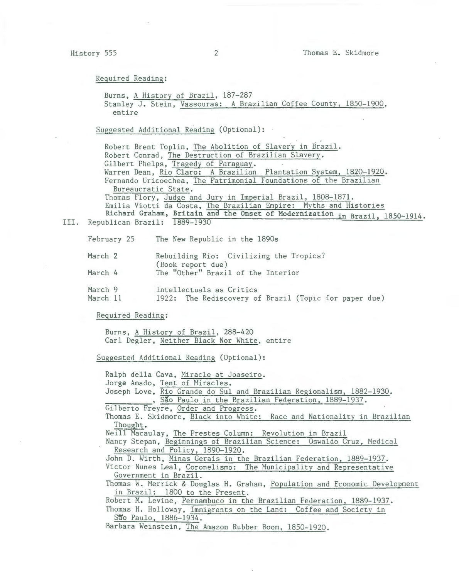Burns, A History of Brazil, 187-287 Stanley J. Stein, Vassouras: A Brazilian Coffee County, 1850-1900, entire

Suggested Additional Reading (Optional): ·

Robert Brent Toplin, The Abolition of Slavery in Brazil. Robert Conrad, The Destruction of Brazilian Slavery. Gilbert Phelps, Tragedy of Paraguay. Warren Dean, Rio Claro: A Brazilian Plantation System, 1820-1920. Fernando Uricoechea, The Patrimonial Foundations of the Brazilian Bureaucratic State. Thomas Flory, Judge and Jury in Imperial Brazil, 1808-1871. Emilia Viotti da Costa, The Brazilian Empire: Myths and Histories Richard Graham, Britain and the Onset of Modernization in Brazil, 1850-1914.

III. Republican Brazil: 1889-1930

February The New Republic in the 1890s

| March 2 | Rebuilding Rio: Civilizing the Tropics?<br>(Book report due) |
|---------|--------------------------------------------------------------|
| March 4 | The "Other" Brazil of the Interior                           |
| March 9 | Intellectuals as Critics                                     |

March 11 1922: The Rediscovery of Brazil (Topic for paper due)

Required Reading:

Burns, A History of Brazil, 288-420 Carl Degler, Neither Black Nor White, entire

Suggested Additional Reading (Optional):

Ralph della Cava, Miracle at Joaseiro. Jorge Amado, Tent of Miracles. Joseph Love, Rio Grande do Sul and Brazilian Regionalism, 1882-1930. , São Paulo in the Brazilian Federation, 1889-1937.<br>Gilberto Freyre, Order and Progress. Thomas E. Skidmore, Black into White: Race and Nationality in Brazilian Thought. Neill Macaulay, The Prestes Column: Revolution in Brazil Nancy Stepan, Beginnings of Brazilian Science: Oswaldo Cruz, Medical Research and Policy, 1890-1920. John D. Wirth, Minas Gerais in the Brazilian Federation, 1889-1937. Victor Nunes Leal, Coronelismo: The Municipality and Representative Government in Brazil. Thomas W. Merrick & Douglas H. Graham, Population and Economic Development in Brazil: 1800 to the Present. Robert M. Levine, Pernambuco in the Brazilian Federation, 1889-1937. Thomas H. Holloway, Immigrants on the Land: Coffee and Society in São Paulo, 1886-1934. Barbara Weinstein, The Amazon Rubber Boom, 1850-1920.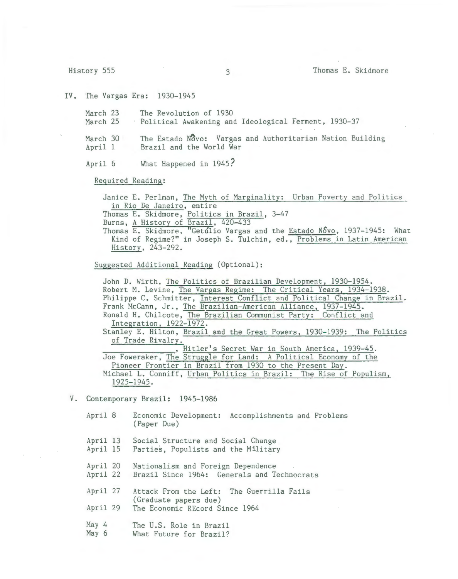IV. The Vargas Era: 1930-1945

March 23 The Revolution of 1930 March 25 • Political Awakening and Ideological Ferment, 1930-37

March  $30$  The Estado Novo: Vargas and Authoritarian Nation Building April l Brazil and the World War

April 6 What Happened in 1945?

Required Reading:

Janice E. Perlman, The Myth of Marginality: Urban Poverty and Politics in Rio De Janeiro, entire Thomas E. Skidmore, Politics in Brazil, 3-47 Burns, A History of Brazil, 420-433

Thomas E. Skidmore, "Getulio Vargas and the Estado Novo, 1937-1945: What Kind of Regime?" in Joseph S. Tulchin, ed., Problems in Latin American History, 243-292.

Suggested Additional Reading (Optional):

John D. Wirth, The Politics of Brazilian Development, 1930-1954. Robert M. Levine, The Vargas Regime: The Critical Years, 1934-1938. Philippe C. Schmitter, Interest Conflict and Political Change in Brazil. Frank McCann, Jr., The Brazilian-American Alliance, 1937-1945. Ronald H. Chilcote, The Brazilian Communist Party: Conflict and Integration, 1922-1972. Stanley E. Hilton, Brazil and the Great Powers, 1930-1939: The Politics of Trade Rivalry.<br>
, Hitler's Secret War in South America, 1939-45. Joe Foweraker, The Struggle for Land: A Political Economy of the Pioneer Frontier in Brazil from 1930 to the Present Day. Michael L. Conniff, Urban Politics in Brazil: The Rise of Populism, 1925-1945.

V. Contemporary Brazil: 1945-1986

April 8 April 13 April 15 April 20 April 22 April 27 April 29 May 4 May 6 Economic Development: Accomplishments and Problems (Paper Due) Social Structure and Social Change Parties, Populists and the Military Nationalism and Foreign Dependence Brazil Since 1964: Generals and Technocrats Attack From the Left: The Guerrilla Fails (Graduate papers due) The Economic REcord Since 1964 The U.S. Role in Brazil What Future for Brazil?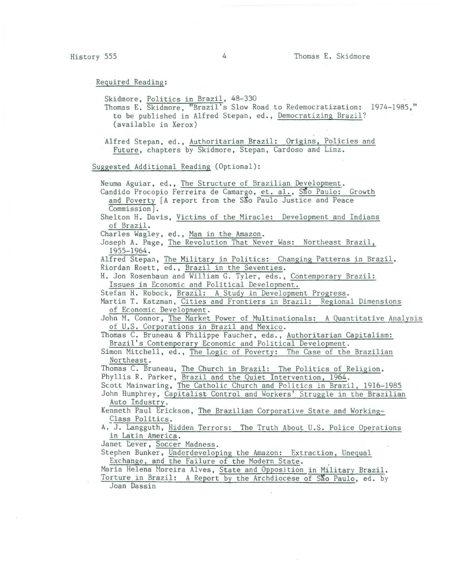Skidmore, Politics in Brazil, 48-330 Thomas E. Skidmore, "Brazil's Slow Road to Redemocratization: 1974-1985," to be published in Alfred Stepan, ed., Democratizing Brazil? (available in Xerox) Alfred Stepan, ed., Authoritarian Brazil: Origins, Policies and Future, chapters by Skidmore, Stepan, Cardoso and Linz. Suggested Additional Reading (Optional): Neuma Aguiar, ed., The Structure of Brazilian Development. Candido Procopio Ferreira de Camargo, et. al., São Paulo: Growth and Poverty [A report from the São Paulo Justice and Peace Commission]. Shelton H. Davis, Victims of the Miracle: Development and Indians of Brazil. Charles Wagley, ed., Man in the Amazon. Joseph A. Page, The Revolution That Never Was: Northeast Brazil, 1955-1964. Alfred Stepan, The Military in Politics: Changing Patterns in Brazil. Riordan Roett, ed., Brazil in the Seventies. H. Jon Rosenbaum and William G. Tyler, eds., Contemporary Brazil: Issues in Economic and Political Development. Stefan H. Robock, Brazil: A Study in Development Progress. Martin T. Katzman, Cities and Frontiers in Brazil: Regional Dimensions of Economic Development. John M. Connor, The Market Power of Multinationals: A Quantitative Analysis of U.S. Corporations in Brazil and Mexico. Thomas C. Bruneau & Philippe Faucher, eds., Authoritarian Capitalism: Brazil's Contemporary Economic and Political Development. Simon Mitchell, ed., The Logic of Poverty: The Case of the Brazilian Northeast. Thomas C. Bruneau, The Church in Brazil: The Politics of Religion. Phyllis R. Parker, Brazil and the Quiet Intervention, 1964. Scott Mainwaring, The Catholic Church and Politics in Brazil, 1916-1985 John Humphrey, Capitalist Control and Workers' Struggle in the Brazilian Auto Industry. Kenneth Paul Erickson, The Brazilian Corporative State and Working-Class Politics. A. J. Langguth, Hidden Terrors: The Truth About U.S. Police Operations in Latin America. Janet Lever, Soccer Madness. Stephen Bunker, Underdeveloping the Amazon: Extraction, Unequal Exchange, and the Failure of the Modern State. Maria Helena Moreira Alves, State and Opposjtion in Military Brazil. Torture in Brazil: A Report by the Archdiocese of São Paulo, ed. by Joan Dassin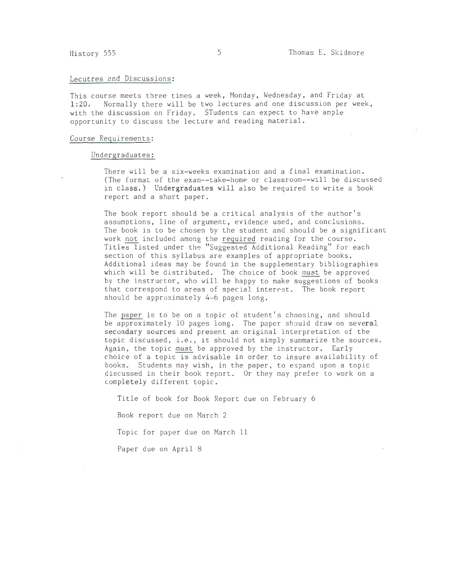#### Lecutres and Discussions:

This course meets three times a week, Monday, Wednesday, and Friday at 1:20. Normally there will be two lectures and one discussion per week, with the discussion on Friday. STudents can expect to have ample opportunity to discuss the lecture and reading material.

## Course Requirements:

## Undergraduates:

There will be a six-weeks examination and a final examination. (The format of the exam--take-home or classroom--will be discussed in class.) Undergraduates **will** also be required to write a book report and a short paper.

The book report should be a critical analysis of the author's assumptions, line of argument, evidence used, and conclusions. The book is to be chosen by the student and should be a significant work not included among the required reading for the course. Titles listed under the "Suggested Additional Reading" for each section of this syllabus are examples of appropriate books. Additional ideas may be found in the supplementary bibliographies which will be distributed. The choice of book must be approved by the instructor, who will be happy to make suggestions of books that correspond to areas of special interest. The book report should be approximately 4-6 pages long.

The paper is to be on a topic of student's choosing, and should be approximately 10 pages long. The paper should draw on several secondary sources and present an original interpretation of the topic discussed, i.e., it should not simply summarize the sources. Again, the topic must be approved by the instructor. Early choice of a topic is advisable in order to insure availability of books. Students may wish, in the paper, to expand upon a topic discussed in their book report. Or they may prefer to work on a completely different topic.

Title of book for Book Report due on February 6

Book report due on March 2

Topic for paper due on March ll

Paper due on April 8